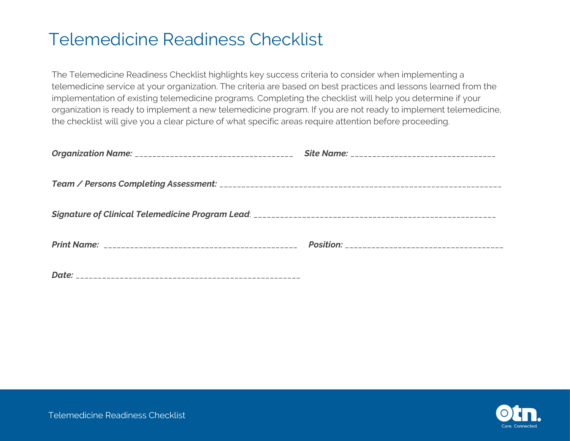The Telemedicine Readiness Checklist highlights key success criteria to consider when implementing a telemedicine service at your organization. The criteria are based on best practices and lessons learned from the implementation of existing telemedicine programs. Completing the checklist will help you determine if your organization is ready to implement a new telemedicine program. If you are not ready to implement telemedicine, the checklist will give you a clear picture of what specific areas require attention before proceeding.

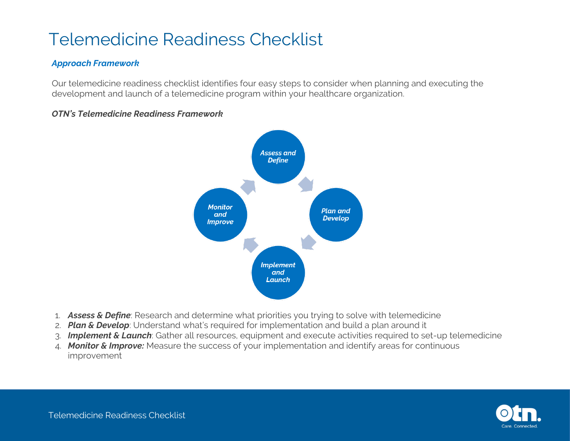#### *Approach Framework*

Our telemedicine readiness checklist identifies four easy steps to consider when planning and executing the development and launch of a telemedicine program within your healthcare organization.



#### *OTN's Telemedicine Readiness Framework*

- 1. *Assess & Define*: Research and determine what priorities you trying to solve with telemedicine
- 2. *Plan & Develop*: Understand what's required for implementation and build a plan around it
- 3. *Implement & Launch*: Gather all resources, equipment and execute activities required to set-up telemedicine
- 4. *Monitor & Improve:* Measure the success of your implementation and identify areas for continuous improvement

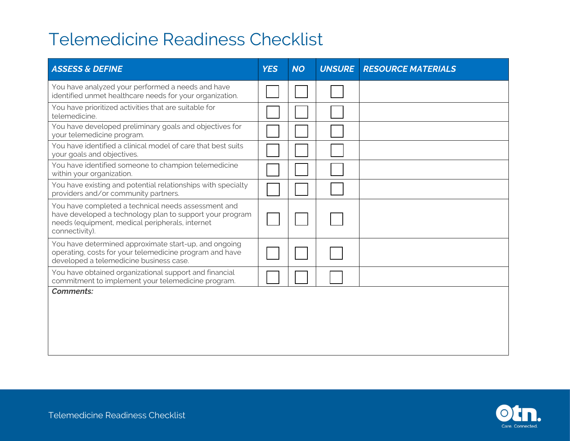| <b>ASSESS &amp; DEFINE</b>                                                                                                                                                           | <b>YES</b> | <b>NO</b> | <b>UNSURE</b> | <b>RESOURCE MATERIALS</b> |
|--------------------------------------------------------------------------------------------------------------------------------------------------------------------------------------|------------|-----------|---------------|---------------------------|
| You have analyzed your performed a needs and have<br>identified unmet healthcare needs for your organization.                                                                        |            |           |               |                           |
| You have prioritized activities that are suitable for<br>telemedicine.                                                                                                               |            |           |               |                           |
| You have developed preliminary goals and objectives for<br>your telemedicine program.                                                                                                |            |           |               |                           |
| You have identified a clinical model of care that best suits<br>your goals and objectives.                                                                                           |            |           |               |                           |
| You have identified someone to champion telemedicine<br>within your organization.                                                                                                    |            |           |               |                           |
| You have existing and potential relationships with specialty<br>providers and/or community partners.                                                                                 |            |           |               |                           |
| You have completed a technical needs assessment and<br>have developed a technology plan to support your program<br>needs (equipment, medical peripherals, internet<br>connectivity). |            |           |               |                           |
| You have determined approximate start-up, and ongoing<br>operating, costs for your telemedicine program and have<br>developed a telemedicine business case.                          |            |           |               |                           |
| You have obtained organizational support and financial<br>commitment to implement your telemedicine program.                                                                         |            |           |               |                           |
| <b>Comments:</b>                                                                                                                                                                     |            |           |               |                           |

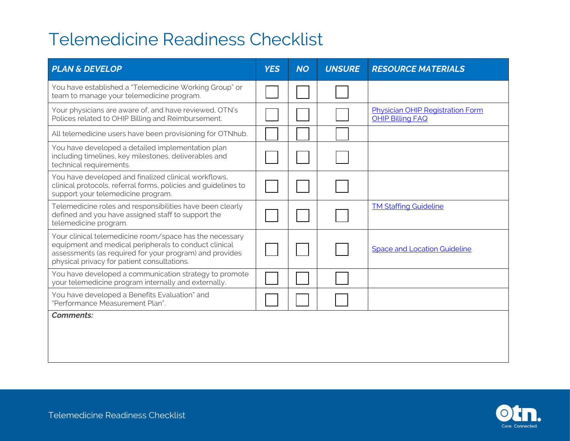| <b>PLAN &amp; DEVELOP</b>                                                                                                                                                                                                  | <b>YES</b> | <b>NO</b> | <b>UNSURE</b> | <b>RESOURCE MATERIALS</b>                                          |
|----------------------------------------------------------------------------------------------------------------------------------------------------------------------------------------------------------------------------|------------|-----------|---------------|--------------------------------------------------------------------|
| You have established a "Telemedicine Working Group" or<br>team to manage your telemedicine program.                                                                                                                        |            |           |               |                                                                    |
| Your physicians are aware of, and have reviewed, OTN's<br>Polices related to OHIP Billing and Reimbursement.                                                                                                               |            |           |               | <b>Physician OHIP Registration Form</b><br><b>OHIP Billing FAQ</b> |
| All telemedicine users have been provisioning for OTNhub.                                                                                                                                                                  |            |           |               |                                                                    |
| You have developed a detailed implementation plan<br>including timelines, key milestones, deliverables and<br>technical requirements.                                                                                      |            |           |               |                                                                    |
| You have developed and finalized clinical workflows,<br>clinical protocols, referral forms, policies and guidelines to<br>support your telemedicine program.                                                               |            |           |               |                                                                    |
| Telemedicine roles and responsibilities have been clearly<br>defined and you have assigned staff to support the<br>telemedicine program.                                                                                   |            |           |               | <b>TM Staffing Guideline</b>                                       |
| Your clinical telemedicine room/space has the necessary<br>equipment and medical peripherals to conduct clinical<br>assessments (as required for your program) and provides<br>physical privacy for patient consultations. |            |           |               | <b>Space and Location Guideline</b>                                |
| You have developed a communication strategy to promote<br>your telemedicine program internally and externally.                                                                                                             |            |           |               |                                                                    |
| You have developed a Benefits Evaluation" and<br>"Performance Measurement Plan".                                                                                                                                           |            |           |               |                                                                    |
| <b>Comments:</b>                                                                                                                                                                                                           |            |           |               |                                                                    |
|                                                                                                                                                                                                                            |            |           |               |                                                                    |
|                                                                                                                                                                                                                            |            |           |               |                                                                    |

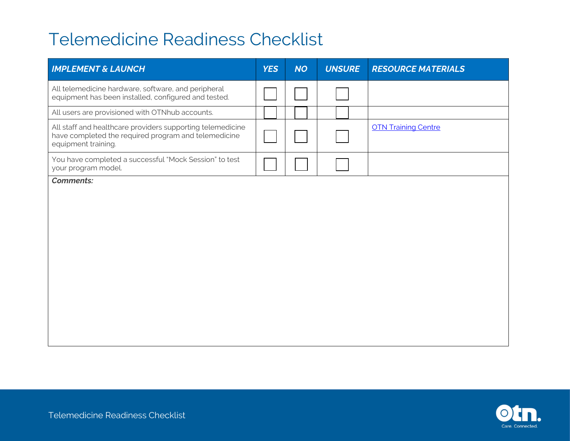| <b>IMPLEMENT &amp; LAUNCH</b>                                                                                                             | <b>YES</b> | <b>NO</b> | <b>UNSURE</b> | <b>RESOURCE MATERIALS</b>  |
|-------------------------------------------------------------------------------------------------------------------------------------------|------------|-----------|---------------|----------------------------|
| All telemedicine hardware, software, and peripheral<br>equipment has been installed, configured and tested.                               |            |           |               |                            |
| All users are provisioned with OTNhub accounts.                                                                                           |            |           |               |                            |
| All staff and healthcare providers supporting telemedicine<br>have completed the required program and telemedicine<br>equipment training. |            |           |               | <b>OTN Training Centre</b> |
| You have completed a successful "Mock Session" to test<br>your program model.                                                             |            |           |               |                            |
| <b>Comments:</b>                                                                                                                          |            |           |               |                            |